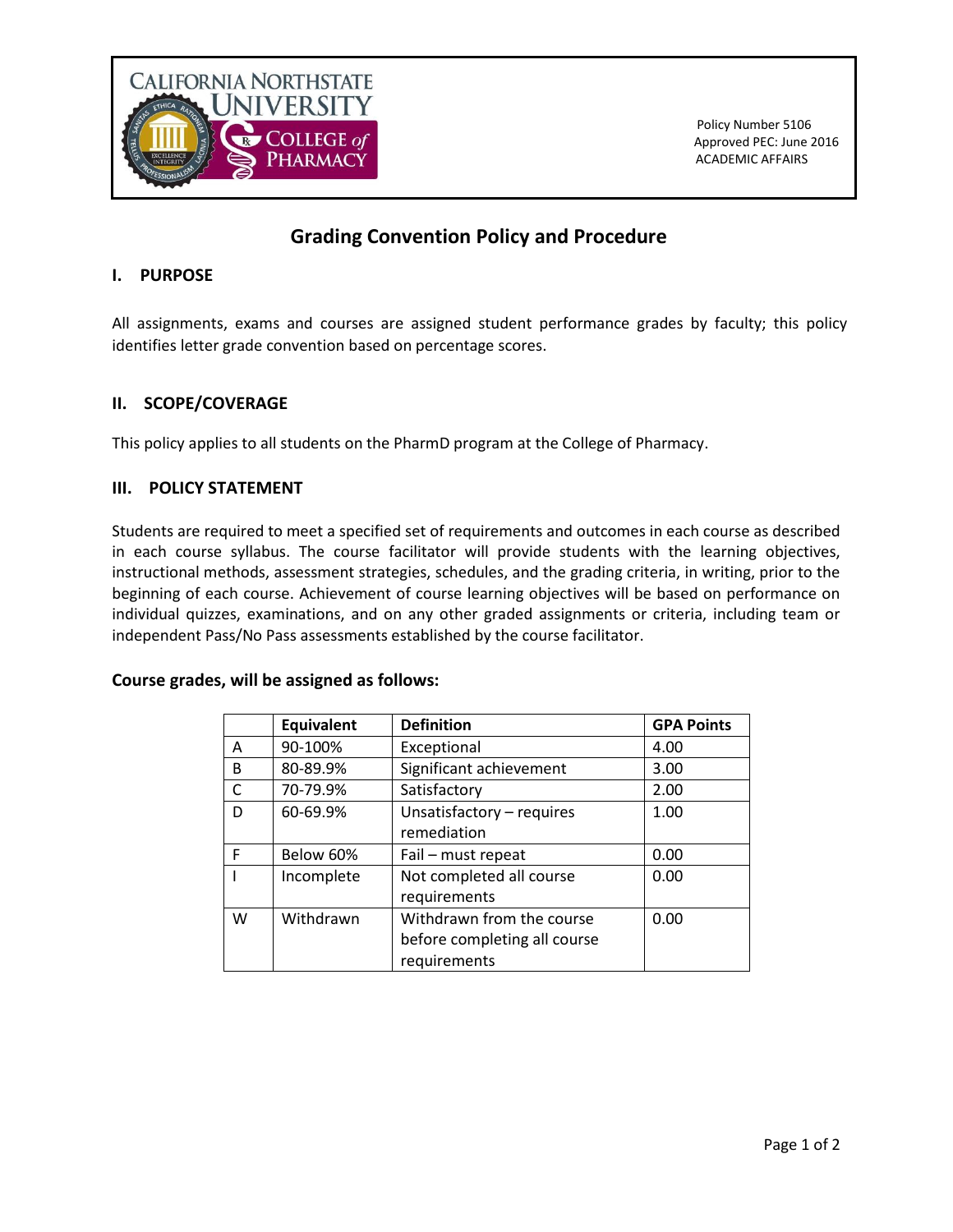

# **Grading Convention Policy and Procedure**

## **I. PURPOSE**

All assignments, exams and courses are assigned student performance grades by faculty; this policy identifies letter grade convention based on percentage scores.

## **II. SCOPE/COVERAGE**

This policy applies to all students on the PharmD program at the College of Pharmacy.

## **III. POLICY STATEMENT**

Students are required to meet a specified set of requirements and outcomes in each course as described in each course syllabus. The course facilitator will provide students with the learning objectives, instructional methods, assessment strategies, schedules, and the grading criteria, in writing, prior to the beginning of each course. Achievement of course learning objectives will be based on performance on individual quizzes, examinations, and on any other graded assignments or criteria, including team or independent Pass/No Pass assessments established by the course facilitator.

#### **Course grades, will be assigned as follows:**

|   | <b>Equivalent</b> | <b>Definition</b>            | <b>GPA Points</b> |
|---|-------------------|------------------------------|-------------------|
| A | 90-100%           | Exceptional                  | 4.00              |
| B | 80-89.9%          | Significant achievement      | 3.00              |
| C | 70-79.9%          | Satisfactory                 | 2.00              |
| D | 60-69.9%          | Unsatisfactory - requires    | 1.00              |
|   |                   | remediation                  |                   |
| F | Below 60%         | Fail - must repeat           | 0.00              |
|   | Incomplete        | Not completed all course     | 0.00              |
|   |                   | requirements                 |                   |
| W | Withdrawn         | Withdrawn from the course    | 0.00              |
|   |                   | before completing all course |                   |
|   |                   | requirements                 |                   |